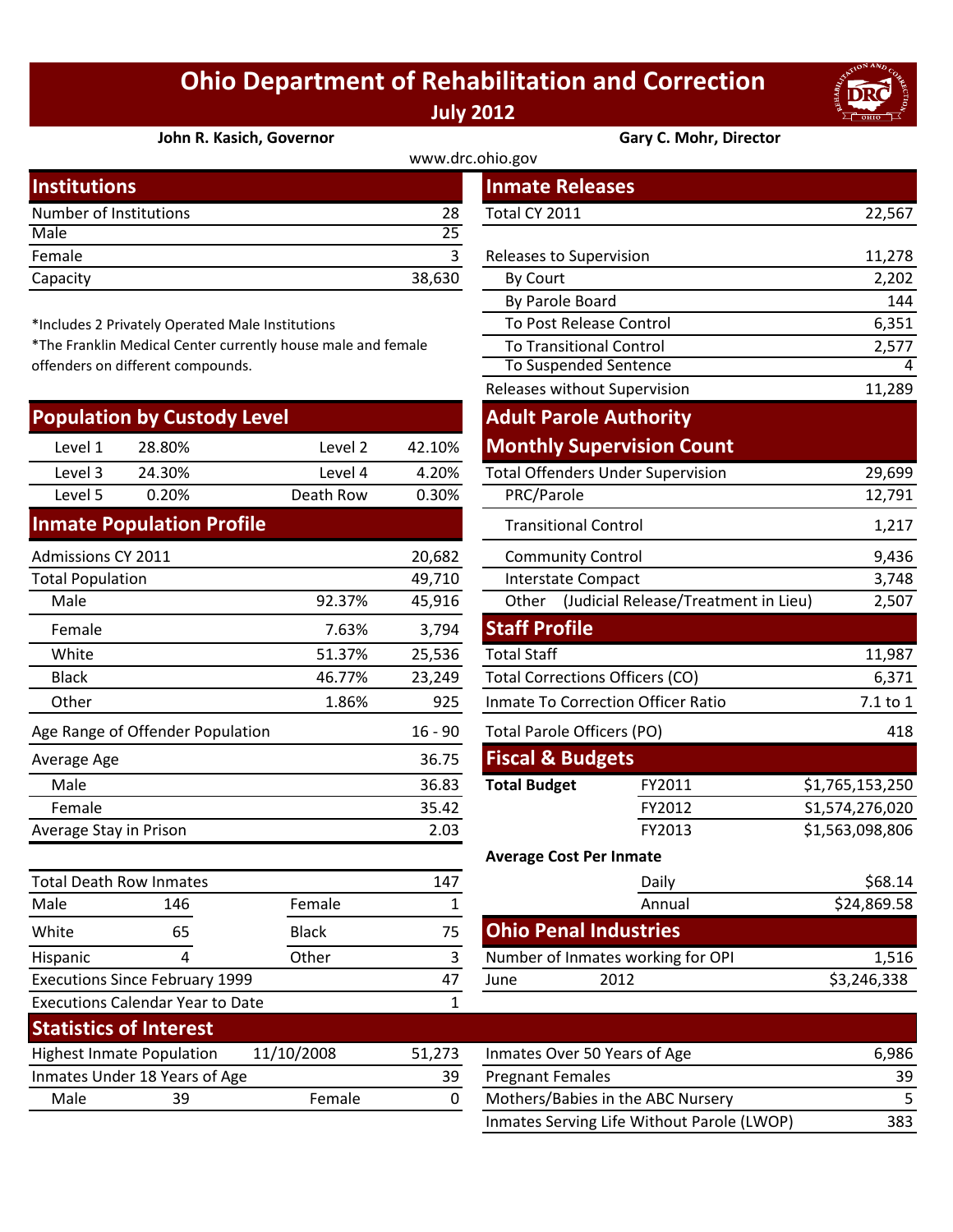## **Ohio Department of Rehabilitation and Correction July 2012**



## **[John R. Kasich, Governor](http://www.drc.ohio.gov/) Gary C. Mohr, Director**

| www.drc.ohio.gov       |        |                         |        |  |  |
|------------------------|--------|-------------------------|--------|--|--|
| <b>Institutions</b>    |        | <b>Inmate Releases</b>  |        |  |  |
| Number of Institutions | 28     | Total CY 2011           | 22,567 |  |  |
| Male                   | 25     |                         |        |  |  |
| Female                 |        | Releases to Supervision | 11,278 |  |  |
| Capacity               | 38,630 | By Court                | 2,202  |  |  |
|                        |        |                         |        |  |  |

\*Includes 2 Privately Operated Male Institutions

\*The Franklin Medical Center currently house male and female offenders on different compounds.

|                         | <b>Population by Custody Level</b> |              |           | <b>Adult Parole Authority</b>                       |                                          |                 |
|-------------------------|------------------------------------|--------------|-----------|-----------------------------------------------------|------------------------------------------|-----------------|
| Level 1                 | 28.80%                             | Level 2      | 42.10%    |                                                     | <b>Monthly Supervision Count</b>         |                 |
| Level 3                 | 24.30%                             | Level 4      | 4.20%     |                                                     | <b>Total Offenders Under Supervision</b> | 29,699          |
| Level 5                 | 0.20%                              | Death Row    | 0.30%     | PRC/Parole                                          |                                          | 12,791          |
|                         | <b>Inmate Population Profile</b>   |              |           | <b>Transitional Control</b>                         |                                          | 1,217           |
| Admissions CY 2011      |                                    |              | 20,682    | <b>Community Control</b>                            |                                          | 9,436           |
| <b>Total Population</b> |                                    |              | 49,710    | <b>Interstate Compact</b>                           |                                          | 3,748           |
| Male                    |                                    | 92.37%       | 45,916    | Other (Judicial Release/Treatment in Lieu)<br>2,507 |                                          |                 |
| Female                  |                                    | 7.63%        | 3,794     | <b>Staff Profile</b>                                |                                          |                 |
| White                   |                                    | 51.37%       | 25,536    | <b>Total Staff</b>                                  |                                          | 11,987          |
| <b>Black</b>            |                                    | 46.77%       | 23,249    | <b>Total Corrections Officers (CO)</b>              |                                          | 6,371           |
| Other                   |                                    | 1.86%        | 925       | Inmate To Correction Officer Ratio                  |                                          | 7.1 to 1        |
|                         | Age Range of Offender Population   |              | $16 - 90$ | <b>Total Parole Officers (PO)</b>                   |                                          | 418             |
| Average Age             |                                    |              | 36.75     | <b>Fiscal &amp; Budgets</b>                         |                                          |                 |
| Male                    |                                    |              | 36.83     | <b>Total Budget</b>                                 | FY2011                                   | \$1,765,153,250 |
| Female                  |                                    |              | 35.42     |                                                     | FY2012                                   | S1,574,276,020  |
| Average Stay in Prison  |                                    |              | 2.03      |                                                     | FY2013                                   | \$1,563,098,806 |
|                         |                                    |              |           | <b>Average Cost Per Inmate</b>                      |                                          |                 |
|                         | <b>Total Death Row Inmates</b>     |              | 147       |                                                     | Daily                                    | \$68.14         |
| Male                    | 146                                | Female       | 1         |                                                     | Annual                                   | \$24,869.58     |
| White                   | 65                                 | <b>Black</b> | 75        | <b>Ohio Penal Industries</b>                        |                                          |                 |

| stitutions                    |                                                           |              |              |                      | <b>Inmate Releases</b>                   |                                            |                 |
|-------------------------------|-----------------------------------------------------------|--------------|--------------|----------------------|------------------------------------------|--------------------------------------------|-----------------|
| mber of Institutions          |                                                           |              | 28           | Total CY 2011        |                                          |                                            | 22,567          |
| le                            |                                                           |              | 25           |                      |                                          |                                            |                 |
| nale                          |                                                           |              | 3            |                      | Releases to Supervision                  |                                            | 11,278          |
| acity                         |                                                           |              | 38,630       | By Court             |                                          |                                            | 2,202           |
|                               |                                                           |              |              |                      | By Parole Board                          |                                            | 144             |
|                               | cludes 2 Privately Operated Male Institutions             |              |              |                      | To Post Release Control                  |                                            | 6,351           |
|                               | e Franklin Medical Center currently house male and female |              |              |                      | <b>To Transitional Control</b>           |                                            | 2,577           |
| nders on different compounds. |                                                           |              |              |                      | To Suspended Sentence                    |                                            |                 |
|                               |                                                           |              |              |                      | Releases without Supervision             |                                            | 11,289          |
|                               | pulation by Custody Level                                 |              |              |                      | <b>Adult Parole Authority</b>            |                                            |                 |
| Level 1                       | 28.80%                                                    | Level 2      | 42.10%       |                      |                                          | <b>Monthly Supervision Count</b>           |                 |
| Level 3                       | 24.30%                                                    | Level 4      | 4.20%        |                      | <b>Total Offenders Under Supervision</b> |                                            | 29,699          |
| Level 5                       | 0.20%                                                     | Death Row    | 0.30%        | PRC/Parole           |                                          |                                            | 12,791          |
|                               | mate Population Profile                                   |              |              |                      | <b>Transitional Control</b>              |                                            | 1,217           |
| nissions CY 2011              |                                                           |              | 20,682       |                      | <b>Community Control</b>                 |                                            | 9,436           |
| al Population                 |                                                           |              | 49,710       |                      | Interstate Compact                       |                                            | 3,748           |
| Male                          |                                                           | 92.37%       | 45,916       |                      |                                          | Other (Judicial Release/Treatment in Lieu) | 2,507           |
| Female                        |                                                           | 7.63%        | 3,794        | <b>Staff Profile</b> |                                          |                                            |                 |
| White                         |                                                           | 51.37%       | 25,536       | <b>Total Staff</b>   |                                          |                                            | 11,987          |
| <b>Black</b>                  |                                                           | 46.77%       | 23,249       |                      | <b>Total Corrections Officers (CO)</b>   |                                            | 6,371           |
| <b>Other</b>                  |                                                           | 1.86%        | 925          |                      | Inmate To Correction Officer Ratio       |                                            | 7.1 to 1        |
|                               | <b>Range of Offender Population</b>                       |              | $16 - 90$    |                      | <b>Total Parole Officers (PO)</b>        |                                            | 418             |
| erage Age                     |                                                           |              | 36.75        |                      | <b>Fiscal &amp; Budgets</b>              |                                            |                 |
| Male                          |                                                           |              | 36.83        | <b>Total Budget</b>  |                                          | FY2011                                     | \$1,765,153,250 |
| Female                        |                                                           |              | 35.42        |                      |                                          | FY2012                                     | S1,574,276,020  |
| erage Stay in Prison          |                                                           |              | 2.03         |                      |                                          | FY2013                                     | \$1,563,098,806 |
|                               |                                                           |              |              |                      | <b>Average Cost Per Inmate</b>           |                                            |                 |
| al Death Row Inmates          |                                                           |              | 147          |                      |                                          | Daily                                      | \$68.14         |
| le                            | 146                                                       | Female       | $\mathbf{1}$ |                      |                                          | Annual                                     | \$24,869.58     |
| ite                           | 65                                                        | <b>Black</b> | 75           |                      | <b>Ohio Penal Industries</b>             |                                            |                 |
| panic                         | 4                                                         | Other        | 3            |                      | Number of Inmates working for OPI        |                                            | 1,516           |
| cutions Since February 1999   |                                                           |              | 47           | June                 | 2012                                     |                                            | \$3,246,338     |
|                               | cutions Calendar Year to Date                             |              | $\mathbf{1}$ |                      |                                          |                                            |                 |

| <b>Executions Calendar Year to Date</b> |                               |            |        |                              |
|-----------------------------------------|-------------------------------|------------|--------|------------------------------|
| <b>Statistics of Interest</b>           |                               |            |        |                              |
| <b>Highest Inmate Population</b>        |                               | 11/10/2008 | 51.273 | Inmates Over 50 Years of Age |
|                                         | Inmates Under 18 Years of Age |            | 39     | <b>Pregnant Females</b>      |
| Male                                    | 39                            | Female     |        | Mothers/Babies in the ABC No |
|                                         |                               |            |        |                              |

Hispanic 4 Other 3

Executions Since February 1999

| <b>Highest Inmate Population</b> |                               | 11/10/2008 | 51.273 | Inmates Over 50 Years of Age               | 6.986 |
|----------------------------------|-------------------------------|------------|--------|--------------------------------------------|-------|
|                                  | Inmates Under 18 Years of Age |            | 39     | <b>Pregnant Females</b>                    | 39    |
| Male                             | 39                            | Female     |        | Mothers/Babies in the ABC Nursery          |       |
|                                  |                               |            |        | Inmates Serving Life Without Parole (LWOP) | 383   |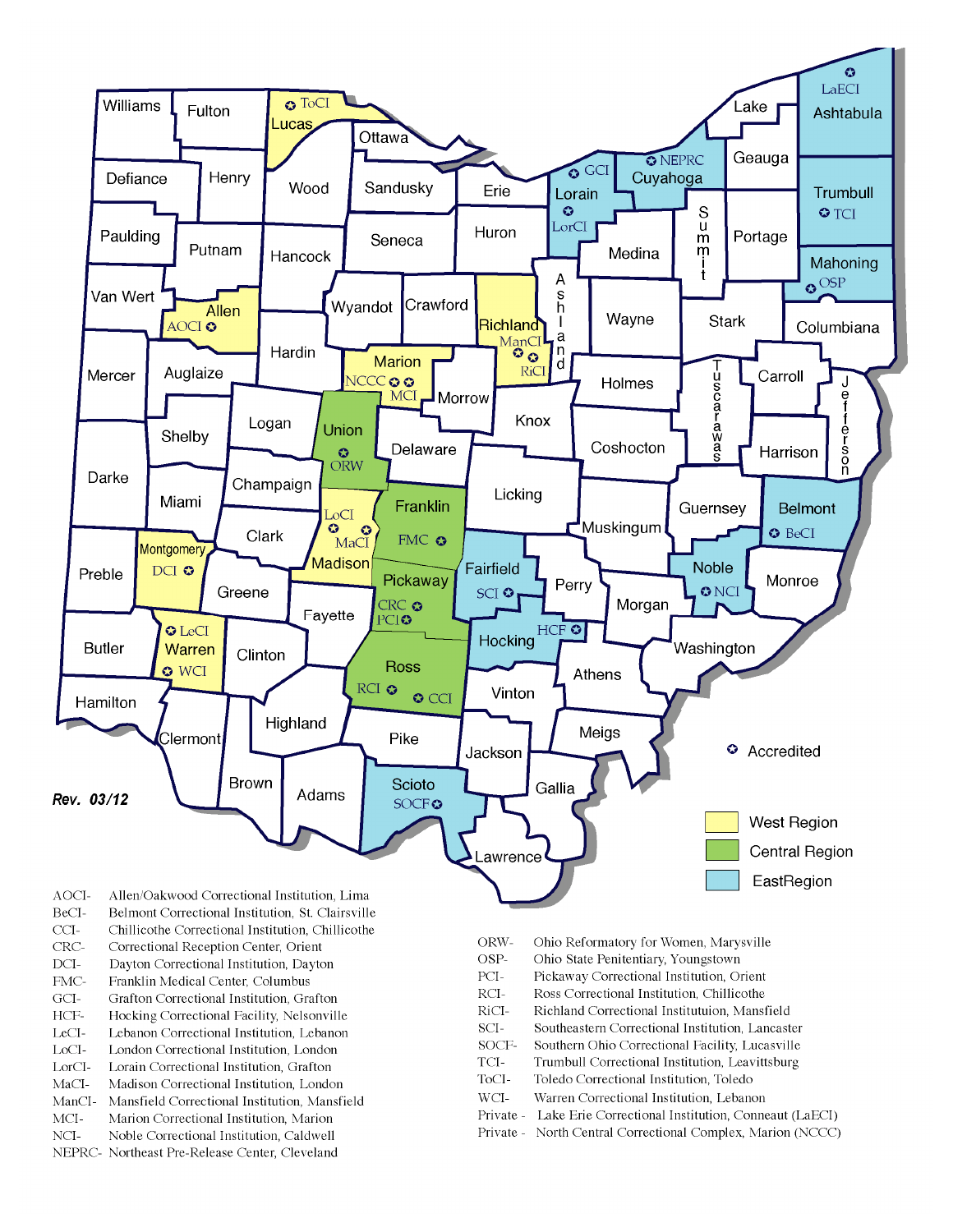

- BeCI-Belmont Correctional Institution, St. Clairsville
- $CCI-$ Chillicothe Correctional Institution, Chillicothe
- Correctional Reception Center, Orient CRC-
- $DCI-$ Dayton Correctional Institution, Dayton
- FMC-Franklin Medical Center, Columbus
- $\rm{GCI}\mbox{-}$ Grafton Correctional Institution, Grafton
- HCF-Hocking Correctional Facility, Nelsonville
- LeCI-Lebanon Correctional Institution, Lebanon
- LoCI-London Correctional Institution. London
- $\operatorname{LorCl-}$ Lorain Correctional Institution, Grafton
- $MaCI-$ Madison Correctional Institution, London
- ManCI-Mansfield Correctional Institution, Mansfield MCI-Marion Correctional Institution, Marion
- Noble Correctional Institution, Caldwell
- NCI-NEPRC- Northeast Pre-Release Center, Cleveland
- ORW-Ohio Reformatory for Women, Marysville
- OSP-Ohio State Penitentiary, Youngstown
- PCI-Pickaway Correctional Institution, Orient
- $\rm RCI-$ Ross Correctional Institution, Chillicothe
- RiCI-Richland Correctional Institutuion, Mansfield
- SCI-Southeastern Correctional Institution, Lancaster
- SOCF-Southern Ohio Correctional Facility, Lucasville
- TCI-Trumbull Correctional Institution, Leavittsburg
- ToCI-Toledo Correctional Institution, Toledo
- $WCI-$ Warren Correctional Institution, Lebanon
- Private Lake Erie Correctional Institution, Conneaut (LaECI)
- Private North Central Correctional Complex, Marion (NCCC)